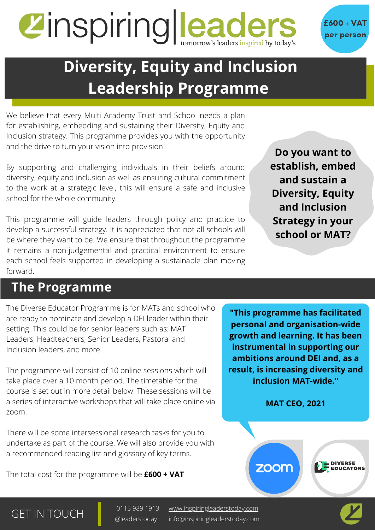# Zinspiring Leaders inspired by today's



# **Diversity, Equity and Inclusion Leadership Programme**

We believe that every Multi Academy Trust and School needs a plan for establishing, embedding and sustaining their Diversity, Equity and Inclusion strategy. This programme provides you with the opportunity and the drive to turn your vision into provision.

By supporting and challenging individuals in their beliefs around diversity, equity and inclusion as well as ensuring cultural commitment to the work at a strategic level, this will ensure a safe and inclusive school for the whole community.

This programme will guide leaders through policy and practice to develop a successful strategy. It is appreciated that not all schools will be where they want to be. We ensure that throughout the programme it remains a non-judgemental and practical environment to ensure each school feels supported in developing a sustainable plan moving forward.

**Do you want to establish, embed and sustain a Diversity, Equity and Inclusion Strategy in your school or MAT?**

#### **The Programme**

The Diverse Educator Programme is for MATs and school who are ready to nominate and develop a DEI leader within their setting. This could be for senior leaders such as: MAT Leaders, Headteachers, Senior Leaders, Pastoral and Inclusion leaders, and more.

The programme will consist of 10 online sessions which will take place over a 10 month period. The timetable for the course is set out in more detail below. These sessions will be a series of interactive workshops that will take place online via zoom.

There will be some intersessional research tasks for you to undertake as part of the course. We will also provide you with a recommended reading list and glossary of key terms.

The total cost for the programme will be **£600 + VAT**

**"This programme has facilitated personal and organisation-wide growth and learning. It has been instrumental in supporting our ambitions around DEI and, as a result, is increasing diversity and inclusion MAT-wide."**

**MAT CEO, 2021**

zoom

GET IN TOUCH <sup>0115 989 1913</sup>

[www.inspiringleaderstoday.com](http://inspiringleaderstoday.com/) info@inspiringleaderstoday.com